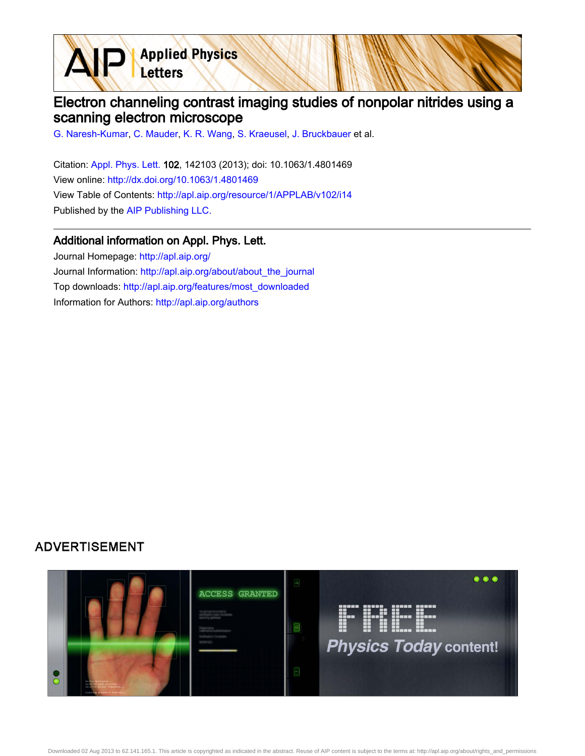**Applied Physics** Letters

## Electron channeling contrast imaging studies of nonpolar nitrides using a scanning electron microscope

[G. Naresh-Kumar](http://apl.aip.org/search?sortby=newestdate&q=&searchzone=2&searchtype=searchin&faceted=faceted&key=AIP_ALL&possible1=G. Naresh-Kumar&possible1zone=author&alias=&displayid=AIP&ver=pdfcov), [C. Mauder,](http://apl.aip.org/search?sortby=newestdate&q=&searchzone=2&searchtype=searchin&faceted=faceted&key=AIP_ALL&possible1=C. Mauder&possible1zone=author&alias=&displayid=AIP&ver=pdfcov) [K. R. Wang](http://apl.aip.org/search?sortby=newestdate&q=&searchzone=2&searchtype=searchin&faceted=faceted&key=AIP_ALL&possible1=K. R. Wang&possible1zone=author&alias=&displayid=AIP&ver=pdfcov), [S. Kraeusel](http://apl.aip.org/search?sortby=newestdate&q=&searchzone=2&searchtype=searchin&faceted=faceted&key=AIP_ALL&possible1=S. Kraeusel&possible1zone=author&alias=&displayid=AIP&ver=pdfcov), [J. Bruckbauer](http://apl.aip.org/search?sortby=newestdate&q=&searchzone=2&searchtype=searchin&faceted=faceted&key=AIP_ALL&possible1=J. Bruckbauer&possible1zone=author&alias=&displayid=AIP&ver=pdfcov) et al.

Citation: [Appl. Phys. Lett. 1](http://apl.aip.org/?ver=pdfcov)02, 142103 (2013); doi: 10.1063/1.4801469 View online: [http://dx.doi.org/10.1063/1.4801469](http://link.aip.org/link/doi/10.1063/1.4801469?ver=pdfcov) View Table of Contents: [http://apl.aip.org/resource/1/APPLAB/v102/i14](http://apl.aip.org/resource/1/APPLAB/v102/i14?ver=pdfcov) Published by the [AIP Publishing LLC.](http://www.aip.org/?ver=pdfcov)

## Additional information on Appl. Phys. Lett.

Journal Homepage: [http://apl.aip.org/](http://apl.aip.org/?ver=pdfcov) Journal Information: [http://apl.aip.org/about/about\\_the\\_journal](http://apl.aip.org/about/about_the_journal?ver=pdfcov) Top downloads: [http://apl.aip.org/features/most\\_downloaded](http://apl.aip.org/features/most_downloaded?ver=pdfcov) Information for Authors: [http://apl.aip.org/authors](http://apl.aip.org/authors?ver=pdfcov)

## **ADVERTISEMENT**

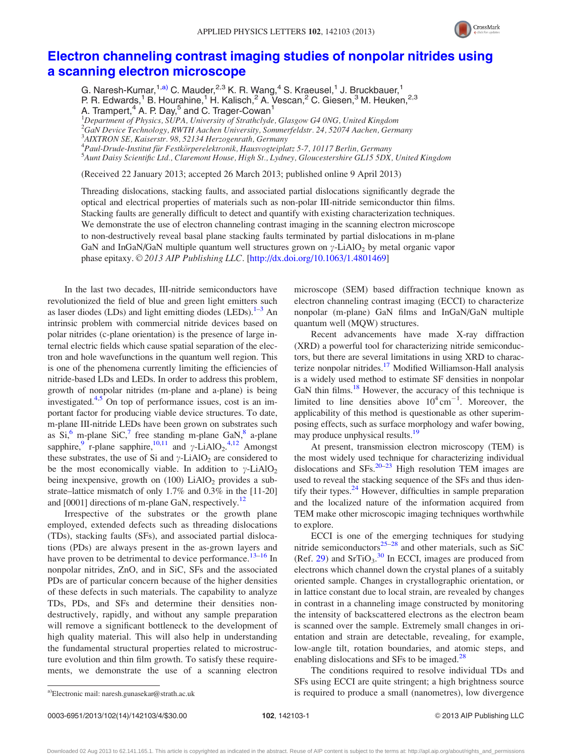

## [Electron channeling contrast imaging studies of nonpolar nitrides using](http://dx.doi.org/10.1063/1.4801469) [a scanning electron microscope](http://dx.doi.org/10.1063/1.4801469)

G. Naresh-Kumar,<sup>1,a)</sup> C. Mauder,<sup>2,3</sup> K. R. Wang,<sup>4</sup> S. Kraeusel,<sup>1</sup> J. Bruckbauer,<sup>1</sup> P. R. Edwards,<sup>1</sup> B. Hourahine,<sup>1</sup> H. Kalisch,<sup>2</sup> A. Vescan,<sup>2</sup> C. Giesen,<sup>3</sup> M. Heuken,<sup>2,3</sup> A. Trampert,<sup>4</sup> A. P. Day,<sup>5</sup> and C. Trager-Cowan<sup>1</sup><br><sup>1</sup>Department of Physics, SUPA, University of Strathclyde, Glasgow G4 0NG, United Kingdom

2 GaN Device Technology, RWTH Aachen University, Sommerfeldstr. 24, 52074 Aachen, Germany

<sup>4</sup> Paul-Drude-Institut für Festkörperelektronik, Hausvogteiplatz 5-7, 10117 Berlin, Germany<br><sup>5</sup> Aunt Daisy Scientific I tel. Claremont House, High St. Lydnay, Gloucestersbire GL15 5DX

<sup>5</sup>Aunt Daisy Scientific Ltd., Claremont House, High St., Lydney, Gloucestershire GL15 5DX, United Kingdom

(Received 22 January 2013; accepted 26 March 2013; published online 9 April 2013)

Threading dislocations, stacking faults, and associated partial dislocations significantly degrade the optical and electrical properties of materials such as non-polar III-nitride semiconductor thin films. Stacking faults are generally difficult to detect and quantify with existing characterization techniques. We demonstrate the use of electron channeling contrast imaging in the scanning electron microscope to non-destructively reveal basal plane stacking faults terminated by partial dislocations in m-plane GaN and InGaN/GaN multiple quantum well structures grown on  $\gamma$ -LiAlO<sub>2</sub> by metal organic vapor phase epitaxy.  $\odot$  2013 AIP Publishing LLC. [<http://dx.doi.org/10.1063/1.4801469>]

In the last two decades, III-nitride semiconductors have revolutionized the field of blue and green light emitters such as laser diodes (LDs) and light emitting diodes (LEDs). $1-3$  An intrinsic problem with commercial nitride devices based on polar nitrides (c-plane orientation) is the presence of large internal electric fields which cause spatial separation of the electron and hole wavefunctions in the quantum well region. This is one of the phenomena currently limiting the efficiencies of nitride-based LDs and LEDs. In order to address this problem, growth of nonpolar nitrides (m-plane and a-plane) is being investigated.[4,5](#page-4-0) On top of performance issues, cost is an important factor for producing viable device structures. To date, m-plane III-nitride LEDs have been grown on substrates such as  $Si<sup>6</sup>$  m-plane  $Si<sup>7</sup>$  free standing m-plane GaN, $^8$  $^8$  a-plane sapphire,  $\overline{9}$  $\overline{9}$  $\overline{9}$  r-plane sapphire,  $\overline{10,11}$  and  $\gamma$ -LiAlO<sub>2</sub>.<sup>[4,12](#page-4-0)</sup> Amongst these substrates, the use of Si and  $\gamma$ -LiAlO<sub>2</sub> are considered to be the most economically viable. In addition to  $\gamma$ -LiAlO<sub>2</sub> being inexpensive, growth on  $(100)$  LiAlO<sub>2</sub> provides a substrate–lattice mismatch of only 1.7% and 0.3% in the [11-20] and [0001] directions of m-plane GaN, respectively.<sup>12</sup>

Irrespective of the substrates or the growth plane employed, extended defects such as threading dislocations (TDs), stacking faults (SFs), and associated partial dislocations (PDs) are always present in the as-grown layers and have proven to be detrimental to device performance.<sup>[13–16](#page-4-0)</sup> In nonpolar nitrides, ZnO, and in SiC, SFs and the associated PDs are of particular concern because of the higher densities of these defects in such materials. The capability to analyze TDs, PDs, and SFs and determine their densities nondestructively, rapidly, and without any sample preparation will remove a significant bottleneck to the development of high quality material. This will also help in understanding the fundamental structural properties related to microstructure evolution and thin film growth. To satisfy these requirements, we demonstrate the use of a scanning electron microscope (SEM) based diffraction technique known as electron channeling contrast imaging (ECCI) to characterize nonpolar (m-plane) GaN films and InGaN/GaN multiple quantum well (MQW) structures.

Recent advancements have made X-ray diffraction (XRD) a powerful tool for characterizing nitride semiconductors, but there are several limitations in using XRD to characterize nonpolar nitrides.<sup>17</sup> Modified Williamson-Hall analysis is a widely used method to estimate SF densities in nonpolar GaN thin films.<sup>[18](#page-4-0)</sup> However, the accuracy of this technique is limited to line densities above  $10^4 \text{ cm}^{-1}$ . Moreover, the applicability of this method is questionable as other superimposing effects, such as surface morphology and wafer bowing, may produce unphysical results.<sup>19</sup>

At present, transmission electron microscopy (TEM) is the most widely used technique for characterizing individual dislocations and  $SFs$ <sup>[20–23](#page-4-0)</sup> High resolution TEM images are used to reveal the stacking sequence of the SFs and thus identify their types. $^{24}$  However, difficulties in sample preparation and the localized nature of the information acquired from TEM make other microscopic imaging techniques worthwhile to explore.

ECCI is one of the emerging techniques for studying nitride semiconductors<sup>[25–28](#page-4-0)</sup> and other materials, such as SiC (Ref. [29](#page-4-0)) and  $SrTiO<sub>3</sub>$ .<sup>[30](#page-4-0)</sup> In ECCI, images are produced from electrons which channel down the crystal planes of a suitably oriented sample. Changes in crystallographic orientation, or in lattice constant due to local strain, are revealed by changes in contrast in a channeling image constructed by monitoring the intensity of backscattered electrons as the electron beam is scanned over the sample. Extremely small changes in orientation and strain are detectable, revealing, for example, low-angle tilt, rotation boundaries, and atomic steps, and enabling dislocations and SFs to be imaged.<sup>28</sup>

The conditions required to resolve individual TDs and SFs using ECCI are quite stringent; a high brightness source a)Electronic mail: [naresh.gunasekar@strath.ac.uk](mailto:naresh.gunasekar@strath.ac.uk) a) is required to produce a small (nanometres), low divergence

<sup>3</sup> AIXTRON SE, Kaiserstr. 98, 52134 Herzogenrath, Germany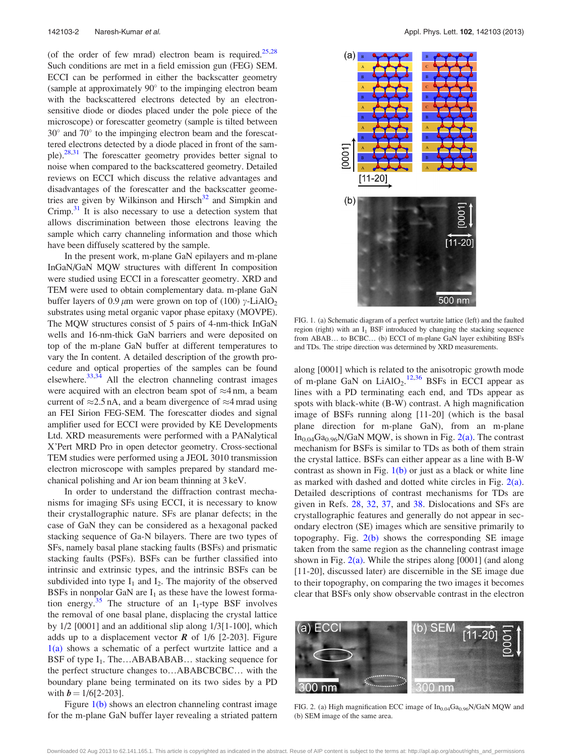<span id="page-2-0"></span>(of the order of few mrad) electron beam is required.<sup>[25,28](#page-4-0)</sup> Such conditions are met in a field emission gun (FEG) SEM. ECCI can be performed in either the backscatter geometry (sample at approximately  $90^\circ$  to the impinging electron beam with the backscattered electrons detected by an electronsensitive diode or diodes placed under the pole piece of the microscope) or forescatter geometry (sample is tilted between  $30^{\circ}$  and  $70^{\circ}$  to the impinging electron beam and the forescattered electrons detected by a diode placed in front of the sam-ple).<sup>[28,31](#page-4-0)</sup> The forescatter geometry provides better signal to noise when compared to the backscattered geometry. Detailed reviews on ECCI which discuss the relative advantages and disadvantages of the forescatter and the backscatter geometries are given by Wilkinson and Hirsch<sup>32</sup> and Simpkin and Crimp. $31$  It is also necessary to use a detection system that allows discrimination between those electrons leaving the sample which carry channeling information and those which have been diffusely scattered by the sample.

In the present work, m-plane GaN epilayers and m-plane InGaN/GaN MQW structures with different In composition were studied using ECCI in a forescatter geometry. XRD and TEM were used to obtain complementary data. m-plane GaN buffer layers of 0.9  $\mu$ m were grown on top of (100)  $\gamma$ -LiAlO<sub>2</sub> substrates using metal organic vapor phase epitaxy (MOVPE). The MQW structures consist of 5 pairs of 4-nm-thick InGaN wells and 16-nm-thick GaN barriers and were deposited on top of the m-plane GaN buffer at different temperatures to vary the In content. A detailed description of the growth procedure and optical properties of the samples can be found elsewhere.<sup>[33,34](#page-4-0)</sup> All the electron channeling contrast images were acquired with an electron beam spot of  $\approx$ 4 nm, a beam current of  $\approx$ 2.5 nA, and a beam divergence of  $\approx$ 4 mrad using an FEI Sirion FEG-SEM. The forescatter diodes and signal amplifier used for ECCI were provided by KE Developments Ltd. XRD measurements were performed with a PANalytical X'Pert MRD Pro in open detector geometry. Cross-sectional TEM studies were performed using a JEOL 3010 transmission electron microscope with samples prepared by standard mechanical polishing and Ar ion beam thinning at 3 keV.

In order to understand the diffraction contrast mechanisms for imaging SFs using ECCI, it is necessary to know their crystallographic nature. SFs are planar defects; in the case of GaN they can be considered as a hexagonal packed stacking sequence of Ga-N bilayers. There are two types of SFs, namely basal plane stacking faults (BSFs) and prismatic stacking faults (PSFs). BSFs can be further classified into intrinsic and extrinsic types, and the intrinsic BSFs can be subdivided into type  $I_1$  and  $I_2$ . The majority of the observed BSFs in nonpolar GaN are  $I_1$  as these have the lowest forma-tion energy.<sup>[35](#page-4-0)</sup> The structure of an  $I_1$ -type BSF involves the removal of one basal plane, displacing the crystal lattice by 1/2 [0001] and an additional slip along 1/3[1-100], which adds up to a displacement vector  $\boldsymbol{R}$  of 1/6 [2-203]. Figure 1(a) shows a schematic of a perfect wurtzite lattice and a BSF of type  $I_1$ . The...ABABABAB... stacking sequence for the perfect structure changes to…ABABCBCBC… with the boundary plane being terminated on its two sides by a PD with  $b = 1/6[2-203]$ .

Figure 1(b) shows an electron channeling contrast image for the m-plane GaN buffer layer revealing a striated pattern



FIG. 1. (a) Schematic diagram of a perfect wurtzite lattice (left) and the faulted region (right) with an  $I_1$  BSF introduced by changing the stacking sequence from ABAB… to BCBC… (b) ECCI of m-plane GaN layer exhibiting BSFs and TDs. The stripe direction was determined by XRD measurements.

along [0001] which is related to the anisotropic growth mode of m-plane GaN on  $LiAlO<sub>2</sub>$ .<sup>[12,36](#page-4-0)</sup> BSFs in ECCI appear as lines with a PD terminating each end, and TDs appear as spots with black-white (B-W) contrast. A high magnification image of BSFs running along [11-20] (which is the basal plane direction for m-plane GaN), from an m-plane  $In<sub>0.04</sub>Ga<sub>0.96</sub>N/GaN MQW, is shown in Fig. 2(a). The contrast$ mechanism for BSFs is similar to TDs as both of them strain the crystal lattice. BSFs can either appear as a line with B-W contrast as shown in Fig.  $1(b)$  or just as a black or white line as marked with dashed and dotted white circles in Fig. 2(a). Detailed descriptions of contrast mechanisms for TDs are given in Refs. [28,](#page-4-0) [32,](#page-4-0) [37,](#page-4-0) and [38.](#page-4-0) Dislocations and SFs are crystallographic features and generally do not appear in secondary electron (SE) images which are sensitive primarily to topography. Fig.  $2(b)$  shows the corresponding SE image taken from the same region as the channeling contrast image shown in Fig.  $2(a)$ . While the stripes along [0001] (and along [11-20], discussed later) are discernible in the SE image due to their topography, on comparing the two images it becomes clear that BSFs only show observable contrast in the electron



FIG. 2. (a) High magnification ECC image of  $In<sub>0.04</sub>Ga<sub>0.96</sub>N/GaN MQW$  and (b) SEM image of the same area.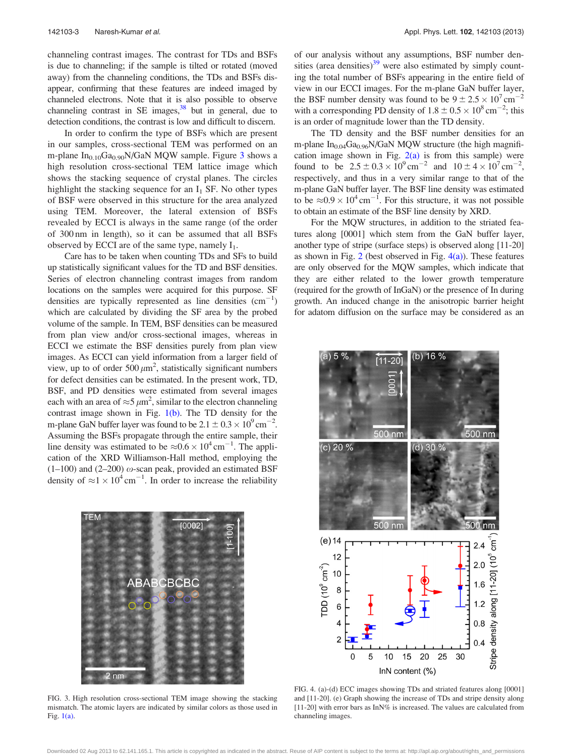<span id="page-3-0"></span>channeling contrast images. The contrast for TDs and BSFs is due to channeling; if the sample is tilted or rotated (moved away) from the channeling conditions, the TDs and BSFs disappear, confirming that these features are indeed imaged by channeled electrons. Note that it is also possible to observe channeling contrast in SE images, $38$  but in general, due to detection conditions, the contrast is low and difficult to discern.

In order to confirm the type of BSFs which are present in our samples, cross-sectional TEM was performed on an m-plane  $In<sub>0.10</sub>Ga<sub>0.90</sub>N/GaN$  MQW sample. Figure 3 shows a high resolution cross-sectional TEM lattice image which shows the stacking sequence of crystal planes. The circles highlight the stacking sequence for an  $I_1$  SF. No other types of BSF were observed in this structure for the area analyzed using TEM. Moreover, the lateral extension of BSFs revealed by ECCI is always in the same range (of the order of 300 nm in length), so it can be assumed that all BSFs observed by ECCI are of the same type, namely  $I_1$ .

Care has to be taken when counting TDs and SFs to build up statistically significant values for the TD and BSF densities. Series of electron channeling contrast images from random locations on the samples were acquired for this purpose. SF densities are typically represented as line densities  $\text{cm}^{-1}$ ) which are calculated by dividing the SF area by the probed volume of the sample. In TEM, BSF densities can be measured from plan view and/or cross-sectional images, whereas in ECCI we estimate the BSF densities purely from plan view images. As ECCI can yield information from a larger field of view, up to of order  $500 \mu m^2$ , statistically significant numbers for defect densities can be estimated. In the present work, TD, BSF, and PD densities were estimated from several images each with an area of  $\approx$  5  $\mu$ m<sup>2</sup>, similar to the electron channeling contrast image shown in Fig.  $1(b)$ . The TD density for the m-plane GaN buffer layer was found to be  $2.1 \pm 0.3 \times 10^9$  cm<sup>-2</sup>. Assuming the BSFs propagate through the entire sample, their line density was estimated to be  $\approx 0.6 \times 10^4 \text{ cm}^{-1}$ . The application of the XRD Williamson-Hall method, employing the  $(1-100)$  and  $(2-200)$   $\omega$ -scan peak, provided an estimated BSF density of  $\approx 1 \times 10^4 \text{ cm}^{-1}$ . In order to increase the reliability



FIG. 3. High resolution cross-sectional TEM image showing the stacking mismatch. The atomic layers are indicated by similar colors as those used in Fig.  $1(a)$ .

of our analysis without any assumptions, BSF number densities (area densities) $39$  were also estimated by simply counting the total number of BSFs appearing in the entire field of view in our ECCI images. For the m-plane GaN buffer layer, the BSF number density was found to be  $9 \pm 2.5 \times 10^{7}$  cm<sup>-2</sup> with a corresponding PD density of  $1.8 \pm 0.5 \times 10^8$  cm<sup>-2</sup>; this is an order of magnitude lower than the TD density.

The TD density and the BSF number densities for an m-plane  $In_{0.04}Ga_{0.96}N/GaN$  MQW structure (the high magnification image shown in Fig.  $2(a)$  is from this sample) were found to be  $2.5 \pm 0.3 \times 10^{9} \text{ cm}^{-2}$  and  $10 \pm 4 \times 10^{7} \text{ cm}^{-2}$ , respectively, and thus in a very similar range to that of the m-plane GaN buffer layer. The BSF line density was estimated to be  $\approx 0.9 \times 10^4 \text{ cm}^{-1}$ . For this structure, it was not possible to obtain an estimate of the BSF line density by XRD.

For the MQW structures, in addition to the striated features along [0001] which stem from the GaN buffer layer, another type of stripe (surface steps) is observed along [11-20] as shown in Fig. [2](#page-2-0) (best observed in Fig.  $4(a)$ ). These features are only observed for the MQW samples, which indicate that they are either related to the lower growth temperature (required for the growth of InGaN) or the presence of In during growth. An induced change in the anisotropic barrier height for adatom diffusion on the surface may be considered as an



FIG. 4. (a)-(d) ECC images showing TDs and striated features along [0001] and [11-20]. (e) Graph showing the increase of TDs and stripe density along [11-20] with error bars as InN% is increased. The values are calculated from channeling images.

Downloaded 02 Aug 2013 to 62.141.165.1. This article is copyrighted as indicated in the abstract. Reuse of AIP content is subject to the terms at: http://apl.aip.org/about/rights\_and\_permissions